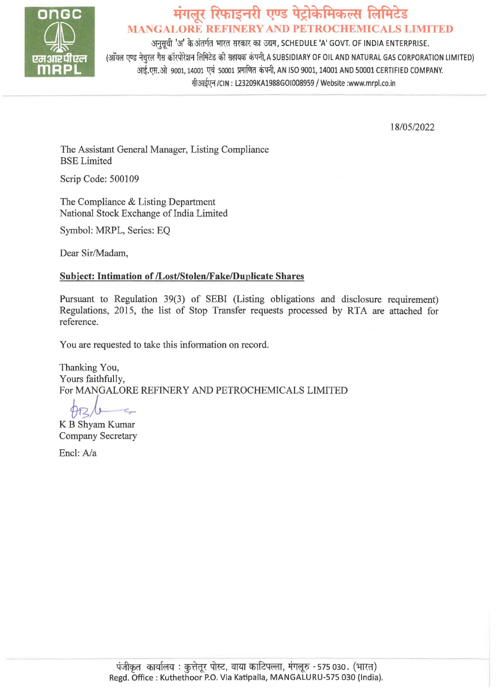

# **मंगलूर रिफाइनरी एण्ड पेट्रोकेमिकल्स लिमिटेड MANGALORE REFINERY AND PETROCHEMICALS LIMITED**

अनुसूची 'अ' के अंतर्गत भारत सरकार का उद्यम, SCHEDULE 'A' GOVT. OF INDIA ENTERPRISE. (ऑयल एण्ड नेचरल गैस कॉरपोरेशन लिमिटेड की सहायक कंपनी, A SUBSIDIARY OF OIL AND NATURAL GAS CORPORATION LIMITED) आई.एस.ओ 9001, 14001 एवं 50001 प्रमाणित कंपनी, AN ISO 9001, 14001 AND 50001 CERTIFIED COMPANY. सीआईएन /CIN: L23209KA1988GOI008959 / Website :www.mrpl.co.in

18/05/2022

The Assistant General Manager, Listing Compliance BSE Limited

Scrip Code: 500109

The Compliance & Listing Department National Stock Exchange of India Limited

Symbol: MRPL, Series: EQ

Dear Sir/Madam,

### **Subject: Intimation of /Lost/Stolen/Fake/Duplicate Shares**

Pursuant to Regulation 39(3) of SEBI (Listing obligations and disclosure requirement) Regulations, 2015, the list of Stop Transfer requests processed by RTA are attached for reference.

You are requested to take this information on record.

Thanking You, Yours faithfully, For MANGALORE REFINERY AND PETROCHEMICALS LIMITED

 $6 \frac{\hbar^2}{2}$ 

Company Secretary

Encl: A/a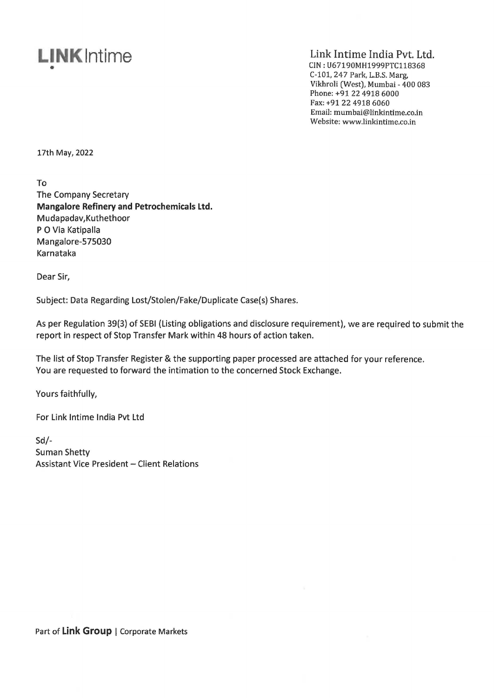## **LINKlntime**  •

Link Intime India Pvt. Ltd. CIN: U67190MH1999PTC118368 C-101, 247 Park, L.B.S. Marg, Vikhroli (West), Mumbai - 400 083 Phone: +91 22 4918 6000 Fax: +91 22 4918 6060 Email: mumbai@linkintime.co.in Website: www.linkintime.co.in

17th **May, 2022** 

To The Company Secretary **Mangalore Refinery and Petrochemicals Ltd.**  Mudapadav, Kuthethoor PO Via Katipalla Mangalore-575030 Karnataka

Dear Sir,

Subject: Data Regarding Lost/Stolen/Fake/Duplicate Case(s) Shares.

As per Regulation 39(3) of SEBI (Listing obligations and disclosure requirement), we are required to submit the report in respect of Stop Transfer Mark within 48 hours of action taken.

The list of Stop Transfer Register & the supporting paper processed are attached for your reference. You are requested to forward the intimation to the concerned Stock Exchange.

Yours faithfully,

For Link lntime India Pvt Ltd

 $Sd$ -Suman Shetty Assistant Vice President - Client Relations

Part of Link Group | Corporate Markets